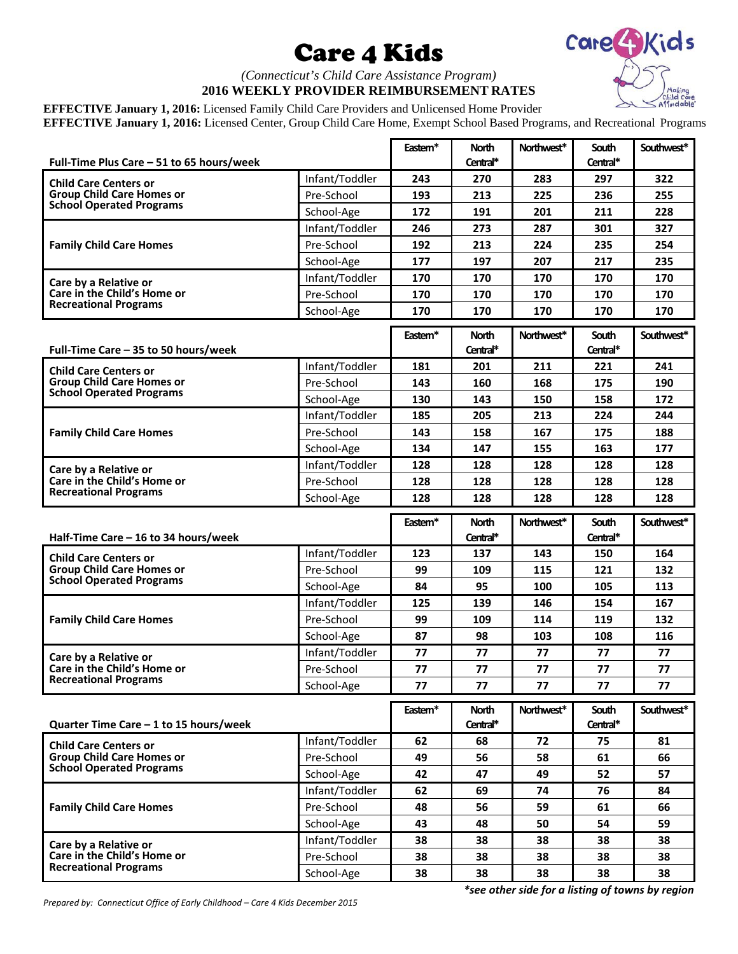## Care 4 Kids



## *(Connecticut's Child Care Assistance Program)* **2016 WEEKLY PROVIDER REIMBURSEMENT RATES**

**EFFECTIVE January 1, 2016:** Licensed Family Child Care Providers and Unlicensed Home Provider **EFFECTIVE January 1, 2016:** Licensed Center, Group Child Care Home, Exempt School Based Programs, and Recreational Programs

|                                                                                                     |                | Eastem* | <b>North</b>             | Northwest* | South                    | Southwest* |
|-----------------------------------------------------------------------------------------------------|----------------|---------|--------------------------|------------|--------------------------|------------|
| Full-Time Plus Care – 51 to 65 hours/week                                                           |                |         | Central*                 |            | Central*                 |            |
| <b>Child Care Centers or</b><br><b>Group Child Care Homes or</b><br><b>School Operated Programs</b> | Infant/Toddler | 243     | 270                      | 283        | 297                      | 322        |
|                                                                                                     | Pre-School     | 193     | 213                      | 225        | 236                      | 255        |
|                                                                                                     | School-Age     | 172     | 191                      | 201        | 211                      | 228        |
| <b>Family Child Care Homes</b>                                                                      | Infant/Toddler | 246     | 273                      | 287        | 301                      | 327        |
|                                                                                                     | Pre-School     | 192     | 213                      | 224        | 235                      | 254        |
|                                                                                                     | School-Age     | 177     | 197                      | 207        | 217                      | 235        |
| Care by a Relative or<br>Care in the Child's Home or<br><b>Recreational Programs</b>                | Infant/Toddler | 170     | 170                      | 170        | 170                      | 170        |
|                                                                                                     | Pre-School     | 170     | 170                      | 170        | 170                      | 170        |
|                                                                                                     | School-Age     | 170     | 170                      | 170        | 170                      | 170        |
|                                                                                                     |                | Eastem* | <b>North</b>             | Northwest* | South                    | Southwest* |
| Full-Time Care – 35 to 50 hours/week                                                                |                |         | Central*                 |            | Central*                 |            |
| <b>Child Care Centers or</b>                                                                        | Infant/Toddler | 181     | 201                      | 211        | 221                      | 241        |
| <b>Group Child Care Homes or</b>                                                                    | Pre-School     | 143     | 160                      | 168        | 175                      | 190        |
| <b>School Operated Programs</b>                                                                     | School-Age     | 130     | 143                      | 150        | 158                      | 172        |
| <b>Family Child Care Homes</b>                                                                      | Infant/Toddler | 185     | 205                      | 213        | 224                      | 244        |
|                                                                                                     | Pre-School     | 143     | 158                      | 167        | 175                      | 188        |
|                                                                                                     | School-Age     | 134     | 147                      | 155        | 163                      | 177        |
| Care by a Relative or<br>Care in the Child's Home or<br><b>Recreational Programs</b>                | Infant/Toddler | 128     | 128                      | 128        | 128                      | 128        |
|                                                                                                     | Pre-School     | 128     | 128                      | 128        | 128                      | 128        |
|                                                                                                     | School-Age     | 128     | 128                      | 128        | 128                      | 128        |
|                                                                                                     |                |         |                          |            |                          |            |
|                                                                                                     |                |         |                          |            |                          |            |
| Half-Time Care $-$ 16 to 34 hours/week                                                              |                | Eastem* | <b>North</b><br>Central* | Northwest* | <b>South</b><br>Central* | Southwest* |
|                                                                                                     | Infant/Toddler | 123     | 137                      | 143        | 150                      | 164        |
| <b>Child Care Centers or</b><br><b>Group Child Care Homes or</b>                                    | Pre-School     | 99      | 109                      | 115        | 121                      | 132        |
| <b>School Operated Programs</b>                                                                     | School-Age     | 84      | 95                       | 100        | 105                      | 113        |
|                                                                                                     | Infant/Toddler | 125     | 139                      | 146        | 154                      | 167        |
| <b>Family Child Care Homes</b>                                                                      | Pre-School     | 99      | 109                      | 114        | 119                      | 132        |
|                                                                                                     | School-Age     | 87      | 98                       | 103        | 108                      | 116        |
|                                                                                                     | Infant/Toddler | 77      | 77                       | 77         | 77                       | 77         |
| Care by a Relative or<br>Care in the Child's Home or                                                | Pre-School     | 77      | 77                       | 77         | 77                       | 77         |
| <b>Recreational Programs</b>                                                                        | School-Age     | 77      | 77                       | 77         | 77                       | 77         |
|                                                                                                     |                |         |                          |            |                          |            |
| Quarter Time Care - 1 to 15 hours/week                                                              |                | Eastem* | <b>North</b><br>Central* | Northwest* | South<br>Central*        | Southwest* |
|                                                                                                     | Infant/Toddler | 62      | 68                       | 72         | 75                       | 81         |
| <b>Child Care Centers or</b><br><b>Group Child Care Homes or</b>                                    | Pre-School     | 49      | 56                       | 58         | 61                       | 66         |
| <b>School Operated Programs</b>                                                                     | School-Age     | 42      | 47                       | 49         | 52                       | 57         |
|                                                                                                     | Infant/Toddler | 62      | 69                       | 74         | 76                       | 84         |
| <b>Family Child Care Homes</b>                                                                      | Pre-School     | 48      | 56                       | 59         | 61                       | 66         |
|                                                                                                     | School-Age     | 43      | 48                       | 50         | 54                       | 59         |
|                                                                                                     | Infant/Toddler | 38      | 38                       | 38         | 38                       | 38         |
| Care by a Relative or<br>Care in the Child's Home or                                                | Pre-School     | 38      | 38                       | 38         | 38                       | 38         |
| <b>Recreational Programs</b>                                                                        | School-Age     | 38      | 38                       | 38         | 38                       | 38         |

*Prepared by: Connecticut Office of Early Childhood – Care 4 Kids December 2015*

*\*see other side for a listing of towns by region*